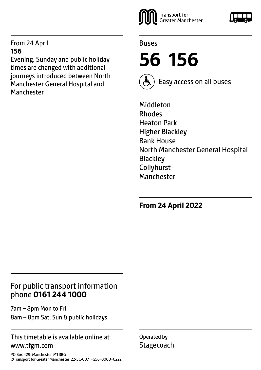#### From 24 April **156**

Evening, Sunday and public holiday times are changed with additional journeys introduced between North Manchester General Hospital and Manchester



### Buses

**56 156**



Easy access on all buses

Middleton Rhodes Heaton Park Higher Blackley Bank House North Manchester General Hospital **Blackley** Collyhurst **Manchester** 

**From 24 April 2022**

## For public transport information phone **0161 244 1000**

7am – 8pm Mon to Fri 8am – 8pm Sat, Sun & public holidays

### This timetable is available online at www.tfgm.com

PO Box 429, Manchester, M1 3BG ©Transport for Greater Manchester 22-SC-0071–G56–3000–0222 Operated by **Stagecoach**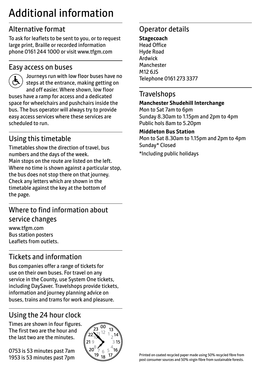# Additional information

# Alternative format

To ask for leaflets to be sent to you, or to request large print, Braille or recorded information phone 0161 244 1000 or visit www.tfgm.com

### Easy access on buses



 Journeys run with low floor buses have no steps at the entrance, making getting on and off easier. Where shown, low floor buses have a ramp for access and a dedicated space for wheelchairs and pushchairs inside the bus. The bus operator will always try to provide easy access services where these services are scheduled to run.

# Using this timetable

Timetables show the direction of travel, bus numbers and the days of the week. Main stops on the route are listed on the left. Where no time is shown against a particular stop, the bus does not stop there on that journey. Check any letters which are shown in the timetable against the key at the bottom of the page.

# Where to find information about service changes

www.tfgm.com Bus station posters Leaflets from outlets.

# Tickets and information

Bus companies offer a range of tickets for use on their own buses. For travel on any service in the County, use System One tickets, including DaySaver. Travelshops provide tickets, information and journey planning advice on buses, trains and trams for work and pleasure.

# Using the 24 hour clock

Times are shown in four figures. The first two are the hour and the last two are the minutes.

0753 is 53 minutes past 7am 1953 is 53 minutes past 7pm



# Operator details

**Stagecoach** Head Office Hyde Road Ardwick **Manchester** M12 6JS Telephone 0161 273 3377

### **Travelshops**

#### **Manchester Shudehill Interchange**

Mon to Sat 7am to 6pm Sunday 8.30am to 1.15pm and 2pm to 4pm Public hols 8am to 5.20pm

#### **Middleton Bus Station**

Mon to Sat 8.30am to 1.15pm and 2pm to 4pm Sunday\* Closed

\*Including public holidays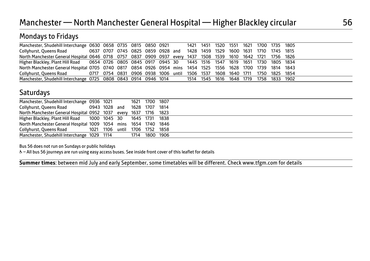## Mondays to Fridays

| Manchester, Shudehill Interchange 0630 0658 0735 0815 0850 0921 1421 1451 1520 1551 1621 1700 1735 1805       |  |  |  |  |  |  |  |  |
|---------------------------------------------------------------------------------------------------------------|--|--|--|--|--|--|--|--|
| Collyhurst, Queens Road 6637 0707 0745 0825 0859 0928 and 1428 1459 1529 1600 1631 1710 1745 1815             |  |  |  |  |  |  |  |  |
| North Manchester General Hospital 0646 0718 0757 0837 0909 0937 every 1437 1508 1539 1610 1642 1721 1756 1826 |  |  |  |  |  |  |  |  |
| Higher Blackley, Plant Hill Road 0654 0726 0805 0845 0917 0945 30 1445 1516 1547 1619 1651 1730 1805 1834     |  |  |  |  |  |  |  |  |
| North Manchester General Hospital 0705 0740 0817 0854 0926 0954 mins 1454 1525 1556 1628 1700 1739 1814 1843  |  |  |  |  |  |  |  |  |
| Collyhurst, Queens Road 6717 0754 0831 0906 0938 1006 until 1506 1537 1608 1640 1711 1750 1825 1854           |  |  |  |  |  |  |  |  |
| Manchester, Shudehill Interchange 0725 0808 0843 0914 0946 1014 1514 1545 1616 1648 1719 1758 1833 1902       |  |  |  |  |  |  |  |  |
|                                                                                                               |  |  |  |  |  |  |  |  |

### **Saturdays**

| Manchester, Shudehill Interchange 0936 1021 1621 1700 1807       |  |                |  |  |
|------------------------------------------------------------------|--|----------------|--|--|
| Collyhurst, Queens Road 0943 1028 and 1628 1707 1814             |  |                |  |  |
| North Manchester General Hospital 0952 1037 every 1637 1716 1823 |  |                |  |  |
| Higher Blackley, Plant Hill Road 1000 1045 30 1645 1731 1838     |  |                |  |  |
| North Manchester General Hospital 1009 1054 mins 1654 1740 1846  |  |                |  |  |
| Collyhurst, Queens Road 1021 1106 until 1706 1752 1858           |  |                |  |  |
| Manchester, Shudehill Interchange 1029 1114                      |  | 1714 1800 1906 |  |  |
|                                                                  |  |                |  |  |

Bus 56 does not run on Sundays or public holidays

 $\overline{a}$ 

W– All bus 56 journeys are run using easy access buses. See inside front cover of this leaflet for details

**Summer times**: between mid July and early September, some timetables will be different. Check www.tfgm.com for details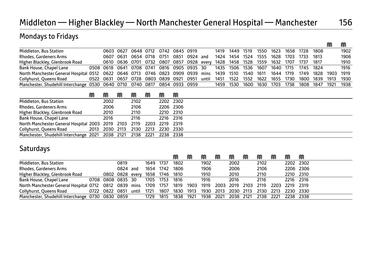# Middleton — Higher Blackley — North Manchester General Hospital — Manchester 156

# Mondays to Fridays

| Middleton, Bus Station                                                    |  |                          |  | 0603 0627 0648 0712 0742 0845 0919         |      |     | 1419 1449 1519                                                         |      | 1550 | 1623      | 1658 | 1728      | 1808           |      | 1902 |
|---------------------------------------------------------------------------|--|--------------------------|--|--------------------------------------------|------|-----|------------------------------------------------------------------------|------|------|-----------|------|-----------|----------------|------|------|
| Rhodes, Gardeners Arms                                                    |  | 0607 0631 0654 0718 0751 |  | 0851                                       | 0924 | and | 1424 1454 1524                                                         |      | 1555 | 1628      | 1703 | 1733      | 1813           |      | 1906 |
| Higher Blackley, Glenbrook Road                                           |  |                          |  |                                            |      |     | 0610 0636 0701 0732 0807 0857 0928 every 1428 1458 1528 1559 1632 1707 |      |      |           |      | 1737      | 1817           |      | 1910 |
| Bank House, Chapel Lane                                                   |  |                          |  | 0508 0618 0641 0708 0741 0816 0905 0935 30 |      |     | 1435 1506 1536 1607 1640 1715                                          |      |      |           |      | 1745 1824 |                |      | 1916 |
| North Manchester General Hospital 0512                                    |  |                          |  |                                            |      |     | 0622 0646 0713 0746 0823 0909 0939 mins 1439 1510 1540 1611            |      |      | 1644      | 1719 | 1749      | 1828           | 1903 | 1919 |
| Collyhurst, Queens Road                                                   |  |                          |  | 0522 0631 0657 0728 0803 0839 0921 0951    |      |     | until 1451 1522                                                        | 1552 | 1622 | 1655 1730 |      |           | 1800 1839 1913 |      | 1930 |
| Manchester, Shudehill Interchange 0530 0640 0710 0740 0817 0854 0933 0959 |  |                          |  |                                            |      |     | 1459 1530 1600                                                         |      | 1630 | 1703      | 1738 |           | 1808 1847 1921 |      | 1938 |

|                                                                      | ⋒ | M    | M | M    | M | M         | M |  |
|----------------------------------------------------------------------|---|------|---|------|---|-----------|---|--|
| Middleton, Bus Station                                               |   | 2002 |   | 2102 |   | 2202 2302 |   |  |
| Rhodes, Gardeners Arms                                               |   | 2006 |   | 2106 |   | 2206 2306 |   |  |
| Higher Blackley, Glenbrook Road                                      |   | 2010 |   | 2110 |   | 2210 2310 |   |  |
| Bank House, Chapel Lane                                              |   | 2016 |   | 2116 |   | 2216 2316 |   |  |
| North Manchester General Hospital 2003 2019 2103 2119 2203 2219 2319 |   |      |   |      |   |           |   |  |
| Collyhurst, Queens Road 2013 2030 2113 2130 2213 2230 2330           |   |      |   |      |   |           |   |  |
| Manchester, Shudehill Interchange 2021 2038 2121 2138 2221 2238 2338 |   |      |   |      |   |           |   |  |

### **Saturdays**

|                                                                 |                      |          |           |           | M    | M    | M         | M | M                             | M | M    |      | m              | M         |
|-----------------------------------------------------------------|----------------------|----------|-----------|-----------|------|------|-----------|---|-------------------------------|---|------|------|----------------|-----------|
| Middleton, Bus Station                                          |                      | 0819     | 1649 1737 |           | 1802 |      | 1902      |   | 2002                          |   | 2102 |      |                | 2202 2302 |
| Rhodes, Gardeners Arms                                          |                      | 0824 and | 1654 1742 |           | 1806 |      | 1906      |   | 2006                          |   | 2106 |      |                | 2206 2306 |
| Higher Blackley, Glenbrook Road                                 | 0802 0828 every      |          |           | 1658 1746 | 1810 |      | 1910      |   | 2010                          |   | 2110 |      | 2210 2310      |           |
| Bank House, Chapel Lane 0708 0808 0835 30                       |                      |          | 1705 1753 |           | 1816 |      | 1916      |   | 2016                          |   | 2116 |      | 2216 2316      |           |
| North Manchester General Hospital 0712 0812 0839 mins 1709 1757 |                      |          |           |           | 1819 |      |           |   | 1903 1919 2003 2019 2103 2119 |   |      |      | 2203 2219 2319 |           |
| Collyhurst, Queens Road                                         | 0722 0822 0851 until |          | 1721      | 1807      | 1830 | 1913 |           |   | 1930 2013 2030 2113           |   | 2130 | 2213 | 2230 2330      |           |
| Manchester, Shudehill Interchange 0730 0830 0859 1729 1815      |                      |          |           |           | 1838 | 1921 | 1938 2021 |   | 2038 2121 2138                |   |      | 2221 | 2238 2338      |           |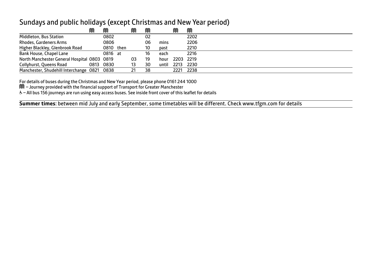### Sundays and public holidays (except Christmas and New Year period)

|                                             | M | M         | M  |    |       |           | M    |  |
|---------------------------------------------|---|-----------|----|----|-------|-----------|------|--|
| Middleton, Bus Station                      |   | 0802      |    | 02 |       |           | 2202 |  |
| Rhodes, Gardeners Arms                      |   | 0806      |    | 06 | mins  |           | 2206 |  |
| Higher Blackley, Glenbrook Road             |   | 0810 then |    | 10 | past  |           | 2210 |  |
| Bank House, Chapel Lane                     |   | 0816 at   |    | 16 | each  |           | 2216 |  |
| North Manchester General Hospital 0803 0819 |   |           | 03 | 19 | hour  | 2203 2219 |      |  |
| Collyhurst, Queens Road                     |   | 0813 0830 | 13 | 30 | until | 2213      | 2230 |  |
| Manchester, Shudehill Interchange 0821 0838 |   |           |    | 38 |       | 2221      | 2238 |  |

For details of buses during the Christmas and New Year period, please phone 0161 244 1000

M – Journey provided with the financial support of Transport for Greater Manchester

W– All bus 156 journeys are run using easy access buses. See inside front cover of this leaflet for details

 $\overline{a}$ **Summer times**: between mid July and early September, some timetables will be different. Check www.tfgm.com for details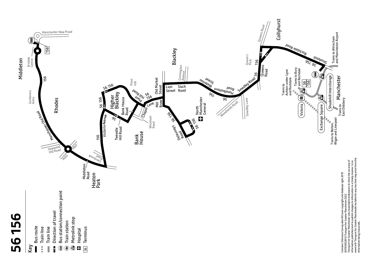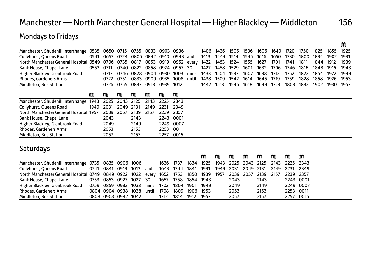# Manchester — North Manchester General Hospital — Higher Blackley — Middleton 156

# Mondays to Fridays

|                                                                            |      |                                        |           |                             |      |      |       |           |                          |           |      |                                    |      |      |      |                |                | M |
|----------------------------------------------------------------------------|------|----------------------------------------|-----------|-----------------------------|------|------|-------|-----------|--------------------------|-----------|------|------------------------------------|------|------|------|----------------|----------------|---|
| Manchester, Shudehill Interchange 0535 0650 0715 0755 0833 0903 0936       |      |                                        |           |                             |      |      |       |           |                          |           |      | 1406 1436 1505 1536 1606 1640 1720 |      |      | 1750 | 1825           | 1855 1925      |   |
| Collyhurst, Queens Road                                                    |      | 0541 0657 0724 0805 0842 0910 0943 and |           |                             |      |      |       |           | 1413 1444 1514           |           | 1545 | 1616                               | 1650 | 1730 | 1800 | 1834           | 1902 1931      |   |
| North Manchester General Hospital 0549 0706 0735 0817 0853 0919 0952 every |      |                                        |           |                             |      |      |       |           | 1422 1453 1524 1555 1627 |           |      |                                    | 1701 | 1741 | 1811 |                | 1844 1912 1939 |   |
| Bank House, Chapel Lane                                                    | 0553 | 0711                                   |           | 0740 0822 0858 0924 0957 30 |      |      |       | 1427      |                          |           |      | 1458 1529 1601 1632 1706 1746      |      |      | 1816 | 1848 1916 1943 |                |   |
| Higher Blackley, Glenbrook Road                                            |      | 0717                                   |           | 0746 0828 0904 0930         |      | 1003 | mins  | 1433      | 1504                     | 1537      | 1607 | 1638                               | 1712 | 1752 | 1822 |                | 1854 1922 1949 |   |
| Rhodes, Gardeners Arms                                                     |      |                                        | 0722 0751 | 0833 0909 0935              |      | 1008 | until | 1438      | 1509                     | 1542 1614 |      | 1645                               | 1719 | 1759 | 1828 | 1858           | 1926 1953      |   |
| Middleton, Bus Station                                                     |      |                                        |           | 0726 0755 0837 0913         | 0939 | 1012 |       | 1442 1513 |                          | 1546      | 1618 | 1649                               | 1723 | 1803 | 1832 | 1902           | 1930 1957      |   |
|                                                                            |      |                                        |           |                             |      |      |       |           |                          |           |      |                                    |      |      |      |                |                |   |

|                                                                      | M | M    | M | M    | M | M    | M         |
|----------------------------------------------------------------------|---|------|---|------|---|------|-----------|
| Manchester, Shudehill Interchange 1943 2025 2043 2125 2143 2225 2343 |   |      |   |      |   |      |           |
| Collyhurst, Queens Road 1949 2031 2049 2131 2149 2231                |   |      |   |      |   |      | - 2349    |
| North Manchester General Hospital 1957 2039 2057 2139 2157           |   |      |   |      |   |      | 2239 2357 |
| Bank House, Chapel Lane                                              |   | 2043 |   | 2143 |   |      | 2243 0001 |
| Higher Blackley, Glenbrook Road                                      |   | 2049 |   | 2149 |   |      | 2249 0007 |
| Rhodes, Gardeners Arms                                               |   | 2053 |   | 2153 |   | 2253 | 0011      |
| Middleton, Bus Station                                               |   | 2057 |   | 2157 |   | 2257 | 0015      |

### **Saturdays**

|                                                                                                          |                        |  |       |           |      |           |      | M | m                                            | M | M    | M         | M         | M      |
|----------------------------------------------------------------------------------------------------------|------------------------|--|-------|-----------|------|-----------|------|---|----------------------------------------------|---|------|-----------|-----------|--------|
| Manchester, Shudehill Interchange 0735 0835 0906 1006                                                    |                        |  |       | 1636 1737 |      |           |      |   | 1834 1925 1943 2025 2043 2125 2143 2225 2343 |   |      |           |           |        |
| Collyhurst, Queens Road                                                                                  | 0741 0841 0913 1013    |  | and   | 1643 1744 |      | 1841 1931 |      |   | 1949 2031 2049 2131                          |   |      | 2149 2231 |           | - 2349 |
| North Manchester General Hospital 0749 0849 0922 1022 every 1652 1753 1850 1939 1957 2039 2057 2139 2157 |                        |  |       |           |      |           |      |   |                                              |   |      |           | 2239 2357 |        |
| Bank House, Chapel Lane                                                                                  | 0753 0853 0927 1027 30 |  |       | 1657      | 1758 | 1854 1943 |      |   | 2043                                         |   | 2143 |           | 2243 0001 |        |
| Higher Blackley, Glenbrook Road                                                                          | 0759 0859 0933 1033    |  | mins  | 1703      | 1804 | 1901      | 1949 |   | 2049                                         |   | 2149 |           | 2249 0007 |        |
| Rhodes, Gardeners Arms                                                                                   | 0804 0904 0938 1038    |  | until | 1708      | 1809 | 1906 1953 |      |   | 2053                                         |   | 2153 |           | 2253 0011 |        |
| Middleton, Bus Station                                                                                   | 0808 0908 0942 1042    |  |       | 1712      | 1814 | 1912      | 1957 |   | 2057                                         |   | 2157 |           | 2257      | 0015   |